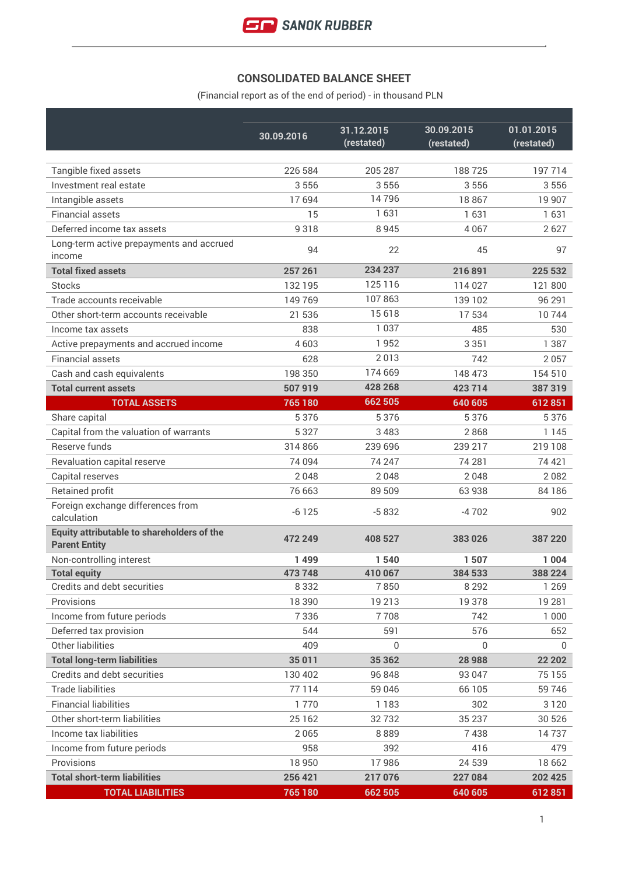## **CONSOLIDATED BALANCE SHEET**

(Financial report as of the end of period) - in thousand PLN

|                                                  | 30.09.2016 | 31.12.2015 | 30.09.2015 | 01.01.2015 |
|--------------------------------------------------|------------|------------|------------|------------|
|                                                  |            | (restated) | (restated) | (restated) |
| Tangible fixed assets                            | 226 584    | 205 287    | 188725     | 197714     |
| Investment real estate                           | 3556       | 3556       | 3556       | 3556       |
| Intangible assets                                | 17694      | 14796      | 18867      | 19 907     |
| <b>Financial assets</b>                          | 15         | 1631       | 1631       | 1631       |
| Deferred income tax assets                       | 9318       | 8 9 4 5    | 4 0 6 7    | 2627       |
| Long-term active prepayments and accrued         |            |            |            |            |
| income                                           | 94         | 22         | 45         | 97         |
| <b>Total fixed assets</b>                        | 257 261    | 234 237    | 216891     | 225 532    |
| <b>Stocks</b>                                    | 132 195    | 125 116    | 114 027    | 121 800    |
| Trade accounts receivable                        | 149769     | 107863     | 139 102    | 96 291     |
| Other short-term accounts receivable             | 21 536     | 15 6 18    | 17534      | 10744      |
| Income tax assets                                | 838        | 1 0 3 7    | 485        | 530        |
| Active prepayments and accrued income            | 4603       | 1952       | 3 3 5 1    | 1 3 8 7    |
| <b>Financial assets</b>                          | 628        | 2013       | 742        | 2057       |
| Cash and cash equivalents                        | 198 350    | 174 669    | 148 473    | 154 510    |
| <b>Total current assets</b>                      | 507 919    | 428 268    | 423 714    | 387319     |
| <b>TOTAL ASSETS</b>                              | 765 180    | 662 505    | 640 605    | 612851     |
| Share capital                                    | 5376       | 5 3 7 6    | 5376       | 5 3 7 6    |
| Capital from the valuation of warrants           | 5 3 2 7    | 3 4 8 3    | 2868       | 1 1 4 5    |
| Reserve funds                                    | 314 866    | 239 696    | 239 217    | 219 108    |
| Revaluation capital reserve                      | 74 094     | 74 247     | 74 281     | 74 421     |
| Capital reserves                                 | 2048       | 2048       | 2048       | 2082       |
| <b>Retained profit</b>                           | 76 663     | 89 509     | 63 938     | 84186      |
| Foreign exchange differences from<br>calculation | $-6125$    | $-5832$    | $-4702$    | 902        |
| Equity attributable to shareholders of the       |            |            |            |            |
| <b>Parent Entity</b>                             | 472 249    | 408 527    | 383026     | 387 220    |
| Non-controlling interest                         | 1499       | 1540       | 1507       | 1 0 0 4    |
| <b>Total equity</b>                              | 473 748    | 410 067    | 384 533    | 388 224    |
| Credits and debt securities                      | 8 3 3 2    | 7850       | 8 2 9 2    | 1 2 6 9    |
| Provisions                                       | 18 3 9 0   | 19213      | 19378      | 19 28 1    |
| Income from future periods                       | 7336       | 7708       | 742        | 1 0 0 0    |
| Deferred tax provision                           | 544        | 591        | 576        | 652        |
| Other liabilities                                | 409        | 0          | 0          | 0          |
| <b>Total long-term liabilities</b>               | 35 011     | 35 362     | 28 988     | 22 20 2    |
| Credits and debt securities                      | 130 402    | 96 848     | 93 047     | 75 155     |
| <b>Trade liabilities</b>                         | 77114      | 59 046     | 66 105     | 59746      |
| <b>Financial liabilities</b>                     | 1770       | 1 1 8 3    | 302        | 3 1 2 0    |
| Other short-term liabilities                     | 25 1 62    | 32732      | 35 237     | 30 526     |
| Income tax liabilities                           | 2065       | 8889       | 7438       | 14737      |
| Income from future periods                       | 958        | 392        | 416        | 479        |
| Provisions                                       | 18 9 50    | 17986      | 24 539     | 18 662     |
| <b>Total short-term liabilities</b>              | 256 421    | 217 076    | 227 084    | 202 425    |
| <b>TOTAL LIABILITIES</b>                         | 765 180    | 662 505    | 640 605    | 612 851    |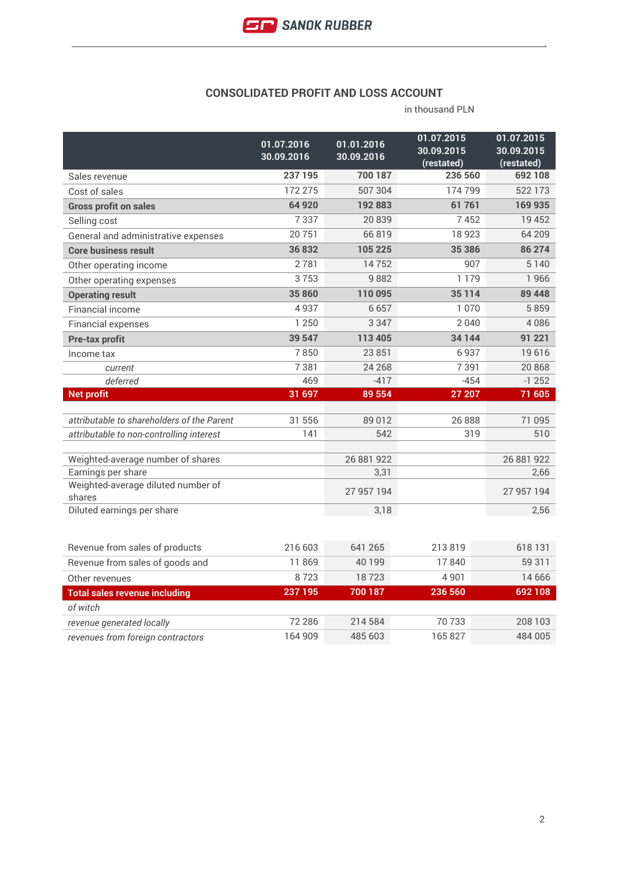#### **CONSOLIDATED PROFIT AND LOSS ACCOUNT**

|                                              | 01.07.2016 | 01.01.2016 | 01.07.2015               | 01.07.2015               |
|----------------------------------------------|------------|------------|--------------------------|--------------------------|
|                                              | 30.09.2016 | 30.09.2016 | 30.09.2015<br>(restated) | 30.09.2015<br>(restated) |
| Sales revenue                                | 237 195    | 700 187    | 236 560                  | 692 108                  |
| Cost of sales                                | 172 275    | 507 304    | 174799                   | 522 173                  |
| <b>Gross profit on sales</b>                 | 64 920     | 192883     | 61761                    | 169 935                  |
| Selling cost                                 | 7337       | 20839      | 7452                     | 19 452                   |
| General and administrative expenses          | 20751      | 66819      | 18923                    | 64 209                   |
| <b>Core business result</b>                  | 36832      | 105 225    | 35 386                   | 86 274                   |
| Other operating income                       | 2781       | 14752      | 907                      | 5 1 4 0                  |
| Other operating expenses                     | 3753       | 9882       | 1 1 7 9                  | 1966                     |
| <b>Operating result</b>                      | 35860      | 110 095    | 35 1 14                  | 89 448                   |
| <b>Financial income</b>                      | 4937       | 6657       | 1 0 7 0                  | 5859                     |
| <b>Financial expenses</b>                    | 1 2 5 0    | 3 3 4 7    | 2040                     | 4086                     |
| Pre-tax profit                               | 39 547     | 113 405    | 34 144                   | 91 221                   |
| Income tax                                   | 7850       | 23 851     | 6937                     | 19616                    |
| current                                      | 7381       | 24 2 68    | 7391                     | 20868                    |
| deferred                                     | 469        | $-417$     | $-454$                   | $-1252$                  |
|                                              |            |            |                          |                          |
| <b>Net profit</b>                            | 31 697     | 89 554     | 27 207                   | 71 605                   |
|                                              |            |            |                          |                          |
| attributable to shareholders of the Parent   | 31 556     | 89012      | 26 8 8 8                 | 71 095                   |
| attributable to non-controlling interest     | 141        | 542        | 319                      | 510                      |
| Weighted-average number of shares            |            | 26 881 922 |                          | 26 881 922               |
| Earnings per share                           |            | 3,31       |                          | 2,66                     |
| Weighted-average diluted number of<br>shares |            | 27 957 194 |                          | 27 957 194               |
| Diluted earnings per share                   |            | 3,18       |                          | 2,56                     |
|                                              |            |            |                          |                          |
| Revenue from sales of products               | 216 603    | 641 265    | 213819                   | 618 131                  |
| Revenue from sales of goods and              | 11869      | 40 199     | 17840                    | 59 311                   |
| Other revenues                               | 8723       | 18723      | 4 9 0 1                  | 14 6 6 6                 |
| <b>Total sales revenue including</b>         | 237 195    | 700 187    | 236 560                  | 692 108                  |
| of witch                                     |            |            |                          |                          |
| revenue generated locally                    | 72 286     | 214 584    | 70733                    | 208 103                  |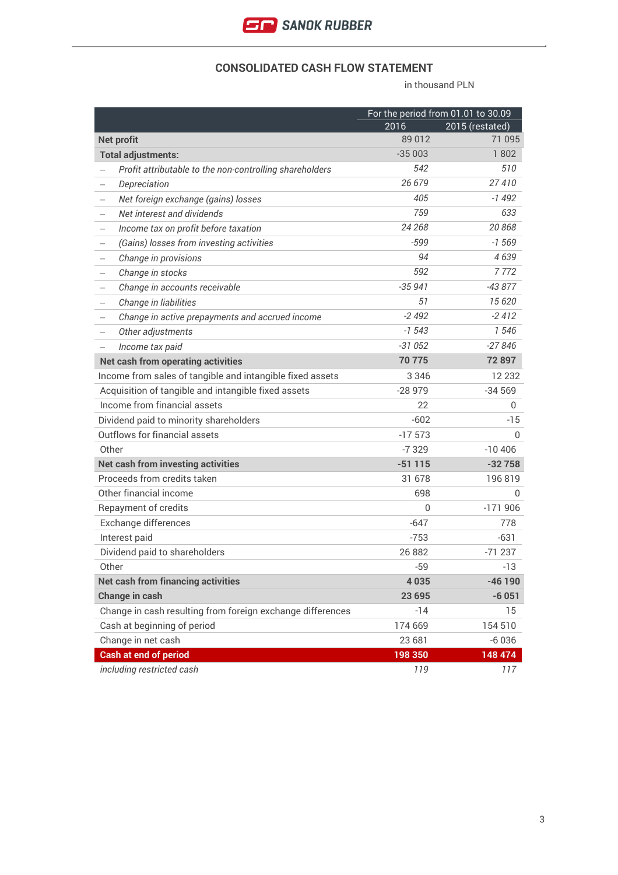

#### **CONSOLIDATED CASH FLOW STATEMENT**

|                                                               |              | For the period from 01.01 to 30.09 |
|---------------------------------------------------------------|--------------|------------------------------------|
|                                                               | 2016         | 2015 (restated)                    |
| <b>Net profit</b>                                             | 89012        | 71 095                             |
| <b>Total adjustments:</b>                                     | $-35003$     | 1802                               |
| Profit attributable to the non-controlling shareholders       | 542          | 510                                |
| Depreciation                                                  | 26 679       | 27410                              |
| Net foreign exchange (gains) losses<br>$\qquad \qquad -$      | 405          | -1 492                             |
| Net interest and dividends<br>$\qquad \qquad -$               | 759          | 633                                |
| Income tax on profit before taxation<br>$\qquad \qquad -$     | 24 268       | 20868                              |
| (Gains) losses from investing activities<br>$\qquad \qquad -$ | $-599$       | $-1569$                            |
| Change in provisions                                          | 94           | 4639                               |
| Change in stocks                                              | 592          | 7772                               |
| Change in accounts receivable<br>$\qquad \qquad -$            | $-35941$     | -43 877                            |
| Change in liabilities                                         | 51           | 15 6 20                            |
| Change in active prepayments and accrued income               | $-2492$      | $-2412$                            |
| Other adjustments<br>$\qquad \qquad -$                        | $-1543$      | 1546                               |
| Income tax paid                                               | $-31052$     | $-27846$                           |
| <b>Net cash from operating activities</b>                     | 70775        | 72 897                             |
| Income from sales of tangible and intangible fixed assets     | 3 3 4 6      | 12 2 3 2                           |
| Acquisition of tangible and intangible fixed assets           | $-28979$     | $-34569$                           |
| Income from financial assets                                  | 22           | 0                                  |
| Dividend paid to minority shareholders                        | $-602$       | $-15$                              |
| Outflows for financial assets                                 | $-17573$     | 0                                  |
| Other                                                         | $-7329$      | $-10406$                           |
| <b>Net cash from investing activities</b>                     | $-51115$     | $-32758$                           |
| Proceeds from credits taken                                   | 31 678       | 196819                             |
| Other financial income                                        | 698          | $\Omega$                           |
| Repayment of credits                                          | $\mathbf{0}$ | $-171906$                          |
| Exchange differences                                          | $-647$       | 778                                |
| Interest paid                                                 | $-753$       | -631                               |
| Dividend paid to shareholders                                 | 26 882       | $-71237$                           |
| Other                                                         | $-59$        | $-13$                              |
| <b>Net cash from financing activities</b>                     | 4 0 3 5      | $-46$ 190                          |
| Change in cash                                                | 23 695       | $-6051$                            |
| Change in cash resulting from foreign exchange differences    | $-14$        | 15                                 |
| Cash at beginning of period                                   | 174 669      | 154 510                            |
| Change in net cash                                            | 23 681       | $-6036$                            |
| <b>Cash at end of period</b>                                  | 198 350      | 148 474                            |
| including restricted cash                                     | 119          | 117                                |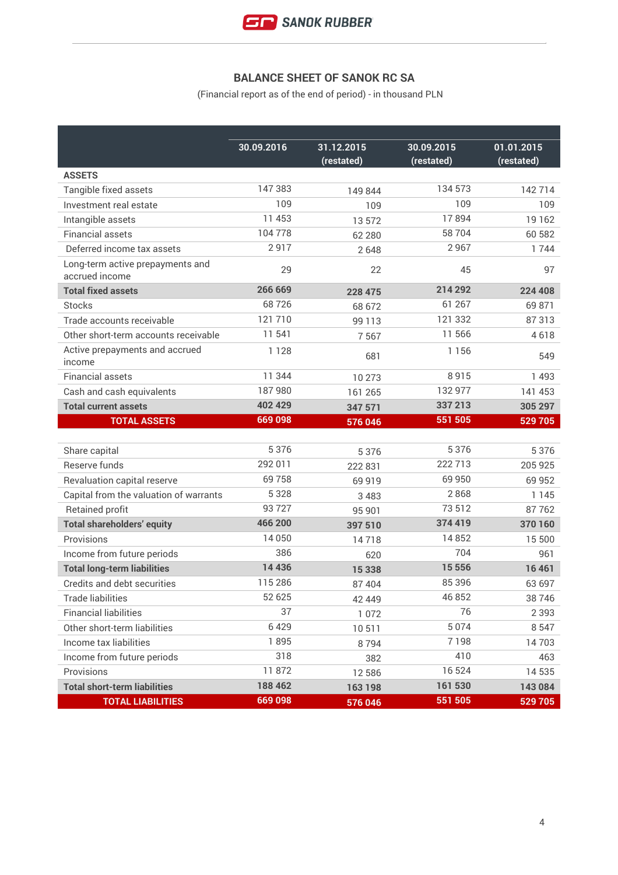# **BALANCE SHEET OF SANOK RC SA**

(Financial report as of the end of period) - in thousand PLN

|                                                    | 30.09.2016 | 31.12.2015<br>(restated) | 30.09.2015<br>(restated) | 01.01.2015<br>(restated) |
|----------------------------------------------------|------------|--------------------------|--------------------------|--------------------------|
| <b>ASSETS</b>                                      |            |                          |                          |                          |
| Tangible fixed assets                              | 147383     | 149 844                  | 134 573                  | 142714                   |
| Investment real estate                             | 109        | 109                      | 109                      | 109                      |
| Intangible assets                                  | 11 453     | 13572                    | 17894                    | 19 162                   |
| <b>Financial assets</b>                            | 104778     | 62 280                   | 58 704                   | 60 582                   |
| Deferred income tax assets                         | 2917       | 2648                     | 2967                     | 1744                     |
| Long-term active prepayments and<br>accrued income | 29         | 22                       | 45                       | 97                       |
| <b>Total fixed assets</b>                          | 266 669    | 228 475                  | 214 292                  | 224 408                  |
| <b>Stocks</b>                                      | 68726      | 68 672                   | 61 267                   | 69 871                   |
| Trade accounts receivable                          | 121710     | 99 1 1 3                 | 121 332                  | 87313                    |
| Other short-term accounts receivable               | 11 541     | 7567                     | 11 566                   | 4618                     |
| Active prepayments and accrued<br>income           | 1128       | 681                      | 1 1 5 6                  | 549                      |
| <b>Financial assets</b>                            | 11 344     | 10 273                   | 8915                     | 1 4 9 3                  |
| Cash and cash equivalents                          | 187980     | 161 265                  | 132 977                  | 141 453                  |
| <b>Total current assets</b>                        | 402 429    | 347 571                  | 337 213                  | 305 297                  |
| <b>TOTAL ASSETS</b>                                | 669098     | 576 046                  | 551 505                  | 529 705                  |
|                                                    |            |                          |                          |                          |
| Share capital                                      | 5 3 7 6    | 5 3 7 6                  | 5 3 7 6                  | 5 3 7 6                  |
| Reserve funds                                      | 292 011    | 222 831                  | 222 713                  | 205 925                  |
| Revaluation capital reserve                        | 69758      | 69 9 19                  | 69 950                   | 69 952                   |
| Capital from the valuation of warrants             | 5 3 2 8    | 3 4 8 3                  | 2868                     | 1 1 4 5                  |
| <b>Retained profit</b>                             | 93727      | 95 901                   | 73 512                   | 87762                    |
| <b>Total shareholders' equity</b>                  | 466 200    | 397 510                  | 374 419                  | 370 160                  |
| Provisions                                         | 14 0 50    | 14718                    | 14852                    | 15 500                   |
| Income from future periods                         | 386        | 620                      | 704                      | 961                      |
| <b>Total long-term liabilities</b>                 | 14 4 36    | 15 3 38                  | 15 5 5 6                 | 16 461                   |
| Credits and debt securities                        | 115 286    | 87 404                   | 85 396                   | 63 697                   |
| <b>Trade liabilities</b>                           | 52 625     | 42 449                   | 46 852                   | 38746                    |
| <b>Financial liabilities</b>                       | 37         | 1 0 7 2                  | 76                       | 2 3 9 3                  |
| Other short-term liabilities                       | 6429       | 10511                    | 5 0 7 4                  | 8 5 4 7                  |
| Income tax liabilities                             | 1895       | 8794                     | 7198                     | 14703                    |
| Income from future periods                         | 318        | 382                      | 410                      | 463                      |
| Provisions                                         | 11872      | 12 5 8 6                 | 16524                    | 14 535                   |
| <b>Total short-term liabilities</b>                | 188 462    | 163 198                  | 161 530                  | 143 084                  |
| <b>TOTAL LIABILITIES</b>                           | 669098     | 576 046                  | 551 505                  | 529 705                  |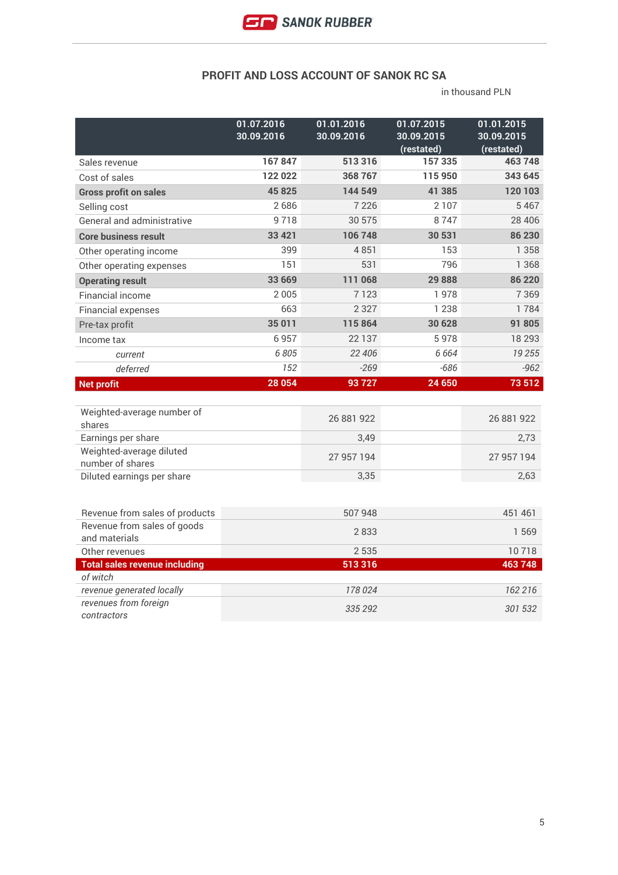### **PROFIT AND LOSS ACCOUNT OF SANOK RC SA**

|                                                    | 01.07.2016<br>30.09.2016 | 01.01.2016<br>30.09.2016 | 01.07.2015<br>30.09.2015 | 01.01.2015<br>30.09.2015 |
|----------------------------------------------------|--------------------------|--------------------------|--------------------------|--------------------------|
|                                                    |                          |                          | (restated)               | (restated)               |
| Sales revenue                                      | 167847                   | 513316                   | 157335                   | 463748                   |
| Cost of sales                                      | 122 022                  | 368 767                  | 115 950                  | 343 645                  |
| <b>Gross profit on sales</b>                       | 45825                    | 144 549                  | 41 385                   | 120 103                  |
| Selling cost                                       | 2686                     | 7 2 2 6                  | 2 1 0 7                  | 5 4 6 7                  |
| <b>General and administrative</b>                  | 9718                     | 30 575                   | 8747                     | 28 4 06                  |
| <b>Core business result</b>                        | 33 4 21                  | 106748                   | 30 531                   | 86 230                   |
| Other operating income                             | 399                      | 4851                     | 153                      | 1 3 5 8                  |
| Other operating expenses                           | 151                      | 531                      | 796                      | 1 3 6 8                  |
| <b>Operating result</b>                            | 33 669                   | 111 068                  | 29888                    | 86 220                   |
| <b>Financial income</b>                            | 2005                     | 7123                     | 1978                     | 7 3 6 9                  |
| <b>Financial expenses</b>                          | 663                      | 2 3 2 7                  | 1 2 3 8                  | 1784                     |
| Pre-tax profit                                     | 35 011                   | 115864                   | 30 628                   | 91 805                   |
| Income tax                                         | 6957                     | 22 137                   | 5978                     | 18 29 3                  |
| current                                            | 6805                     | 22 406                   | 6 6 6 4                  | 19 255                   |
| deferred                                           | 152                      | $-269$                   | $-686$                   | $-962$                   |
| <b>Net profit</b>                                  | 28 054                   | 93727                    | 24 650                   | 73 512                   |
|                                                    |                          |                          |                          |                          |
| Weighted-average number of<br>shares               |                          | 26 881 922               |                          | 26 881 922               |
| Earnings per share                                 |                          | 3,49                     |                          | 2,73                     |
| Weighted-average diluted<br>number of shares       |                          | 27 957 194               |                          | 27 957 194               |
| Diluted earnings per share                         |                          | 3,35                     |                          | 2,63                     |
|                                                    |                          |                          |                          |                          |
| Revenue from sales of products                     |                          | 507 948                  |                          | 451 461                  |
| Revenue from sales of goods<br>and materials       |                          | 2833                     |                          | 1569                     |
| Other revenues                                     |                          | 2 5 3 5                  |                          | 10718                    |
| <b>Total sales revenue including</b>               |                          | 513316                   |                          | 463748                   |
| of witch                                           |                          |                          |                          |                          |
| revenue generated locally<br>revenues from foreign |                          | 178 024                  |                          | 162 216                  |
| contractors                                        |                          | 335 292                  |                          | 301 532                  |